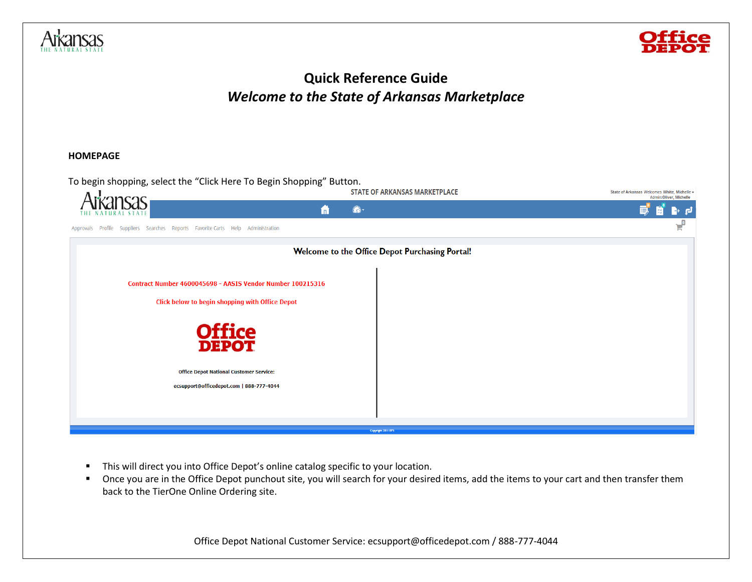



# **Quick Reference Guide** *Welcome to the State of Arkansas Marketplace*

#### **HOMEPAGE**



- **·** This will direct you into Office Depot's online catalog specific to your location.
- Once you are in the Office Depot punchout site, you will search for your desired items, add the items to your cart and then transfer them back to the TierOne Online Ordering site.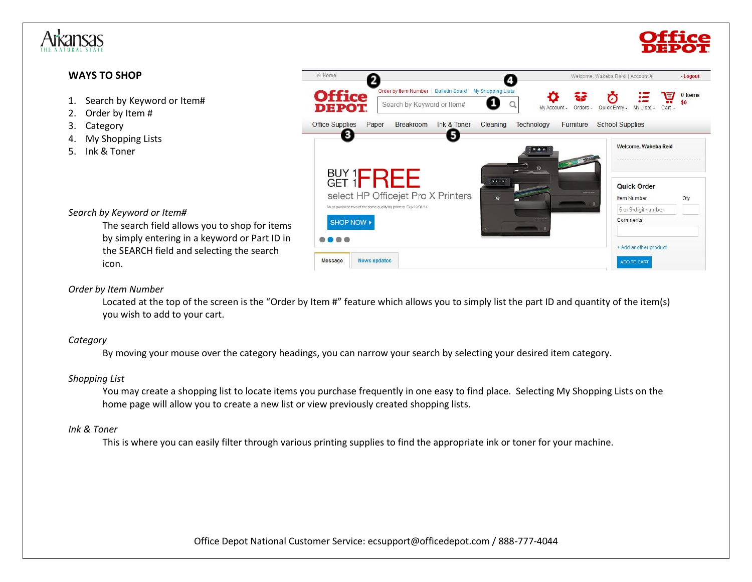

# **WAYS TO SHOP**

- 1. Search by Keyword or Item#
- 2. Order by Item #
- 3. Category
- 4. My Shopping Lists
- 5. Ink & Toner



# *Search by Keyword or Item#*

The search field allows you to shop for items by simply entering in a keyword or Part ID in the SEARCH field and selecting the search icon.

#### *Order by Item Number*

Located at the top of the screen is the "Order by Item #" feature which allows you to simply list the part ID and quantity of the item(s) you wish to add to your cart.

#### *Category*

By moving your mouse over the category headings, you can narrow your search by selecting your desired item category.

## *Shopping List*

You may create a shopping list to locate items you purchase frequently in one easy to find place. Selecting My Shopping Lists on the home page will allow you to create a new list or view previously created shopping lists.

#### *Ink & Toner*

This is where you can easily filter through various printing supplies to find the appropriate ink or toner for your machine.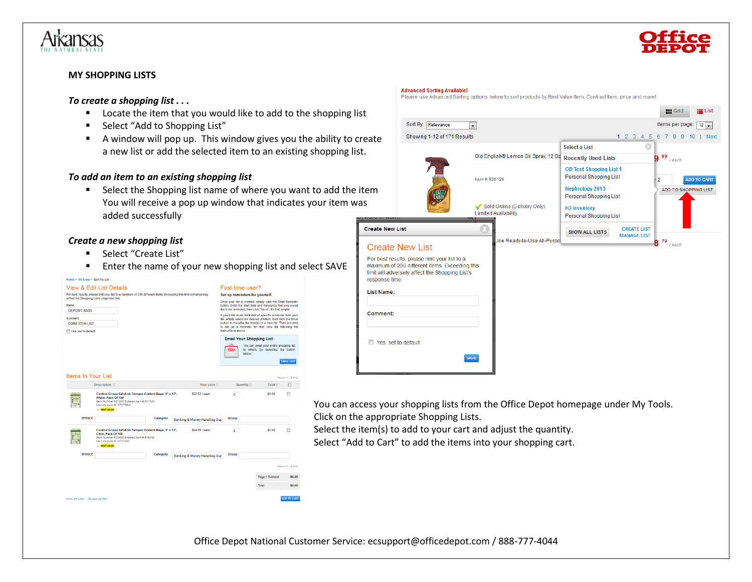

#### **MY SHOPPING LISTS**

#### *To create a shopping list . . .*

- Locate the item that you would like to add to the shopping
- Select "Add to Shopping List"
- A window will pop up. This window gives you the ability to a new list or add the selected item to an existing shopping

#### *To add an item to an existing shopping list*

■ Select the Shopping list name of where you want to add the You will receive a pop up window that indicates your item added successfully

# *Create a new shopping list*

- Select "Create List"
- Enter the name of your new shopping list and select SAVE



|                        |                                                 | r icaac uac Auvanceu Obrany opabha below to abit prouucta by Deat value item, Obhiractitem, phoe and more: |                                                                           |                                                              |  |  |  |  |  |  |
|------------------------|-------------------------------------------------|------------------------------------------------------------------------------------------------------------|---------------------------------------------------------------------------|--------------------------------------------------------------|--|--|--|--|--|--|
| list                   |                                                 |                                                                                                            |                                                                           | <b>HII</b> Grid<br>$\equiv$ List                             |  |  |  |  |  |  |
|                        | Sort By: Relevance                              | $\overline{\phantom{a}}$                                                                                   |                                                                           | Items per page: $\boxed{12}$                                 |  |  |  |  |  |  |
| create                 | Showing 1-12 of 171 Results                     |                                                                                                            | 12345                                                                     | Next<br>6 7 8 9 10                                           |  |  |  |  |  |  |
| list.                  |                                                 |                                                                                                            | Select a List                                                             | G3                                                           |  |  |  |  |  |  |
|                        |                                                 | Old English® Lemon Oil Spray, 12 Oz                                                                        | 99<br><b>Recently Used Lists</b><br>g<br>/ each<br>Personal Shopping List |                                                              |  |  |  |  |  |  |
|                        |                                                 |                                                                                                            | <b>OD Test Shopping List 1</b>                                            | $\overline{2}$<br><b>ADD TO CART</b><br>ADD TO SHOPPING LIST |  |  |  |  |  |  |
|                        |                                                 | Item # 928129                                                                                              |                                                                           |                                                              |  |  |  |  |  |  |
| e item                 |                                                 |                                                                                                            | <b>Nephrology 2013</b><br>Personal Shopping List                          |                                                              |  |  |  |  |  |  |
| was                    |                                                 | Sold Online (Delivery Only)                                                                                | <b>H2 Inventory</b>                                                       |                                                              |  |  |  |  |  |  |
|                        |                                                 | <b>Limited Availability</b>                                                                                | Personal Shopping List                                                    |                                                              |  |  |  |  |  |  |
| <b>Create New List</b> |                                                 |                                                                                                            | <b>CREATE LIST</b><br><b>SHOW ALL LISTS</b><br><b>MANAGE LIST</b>         |                                                              |  |  |  |  |  |  |
|                        | <b>Create New List</b>                          | Joe Ready-to-Use All-Purpo                                                                                 |                                                                           | $8^{79}$ / each                                              |  |  |  |  |  |  |
|                        | For best results, please limit your list to a   |                                                                                                            |                                                                           |                                                              |  |  |  |  |  |  |
|                        | maximum of 200 different items. Exceeding this  |                                                                                                            |                                                                           |                                                              |  |  |  |  |  |  |
| response time.         | limit will adversely affect the Shopping List's |                                                                                                            |                                                                           |                                                              |  |  |  |  |  |  |
| <b>List Name:</b>      |                                                 |                                                                                                            |                                                                           |                                                              |  |  |  |  |  |  |
|                        |                                                 |                                                                                                            |                                                                           |                                                              |  |  |  |  |  |  |
| Comment:               |                                                 |                                                                                                            |                                                                           |                                                              |  |  |  |  |  |  |
|                        |                                                 |                                                                                                            |                                                                           |                                                              |  |  |  |  |  |  |
|                        |                                                 |                                                                                                            |                                                                           |                                                              |  |  |  |  |  |  |
|                        | Yes, set to default                             |                                                                                                            |                                                                           |                                                              |  |  |  |  |  |  |
|                        |                                                 |                                                                                                            |                                                                           |                                                              |  |  |  |  |  |  |

ad Serting entians below to sert products by Rost Value Item. Contract Item, price and m

You can access your shopping lists from the Office Depot homepage under My Tools. Click on the appropriate Shopping Lists.

Select the item(s) to add to your cart and adjust the quantity. Select "Add to Cart" to add the items into your shopping cart.

**Advanced Sorting Available!**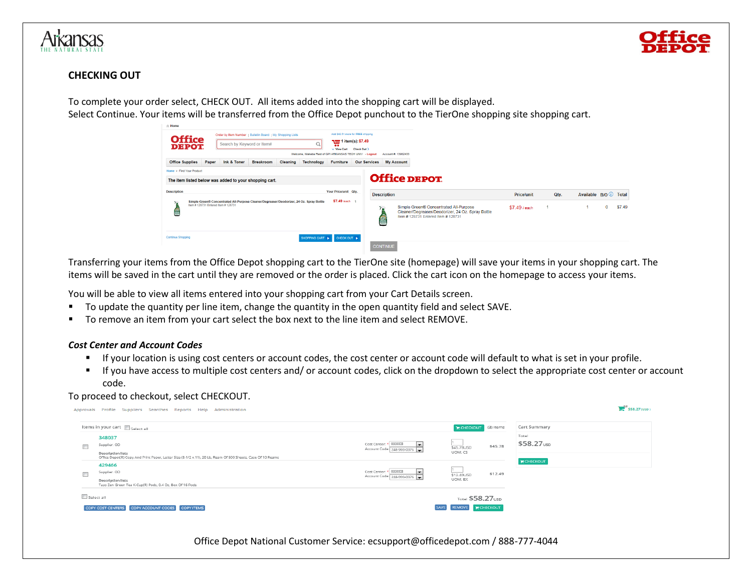

# **CHECKING OUT**

To complete your order select, CHECK OUT. All items added into the shopping cart will be displayed. Select Continue. Your items will be transferred from the Office Depot punchout to the TierOne shopping site shopping cart.

| ⊪ Home                                                 |       |                            |                                                                                          |                 |                                                         |                                                           |                                    |                     |                                                                                                                                    |                   |      |                              |   |        |
|--------------------------------------------------------|-------|----------------------------|------------------------------------------------------------------------------------------|-----------------|---------------------------------------------------------|-----------------------------------------------------------|------------------------------------|---------------------|------------------------------------------------------------------------------------------------------------------------------------|-------------------|------|------------------------------|---|--------|
|                                                        |       |                            | Order by Item Number   Bulletin Board   My Shopping Lists                                |                 |                                                         |                                                           | Add \$42.51 more for FREE shipping |                     |                                                                                                                                    |                   |      |                              |   |        |
| <b>Office</b><br><b>DEPOT</b>                          |       | Search by Keyword or Item# |                                                                                          |                 | Q                                                       | 1 item(s): \$7.49<br>$\bullet\bullet$<br>$\vee$ View Cart | Check Out >                        |                     |                                                                                                                                    |                   |      |                              |   |        |
|                                                        |       |                            |                                                                                          |                 | Welcome, Wakeba Reid of GPI ARKANSAS TECH UNIV - Logout |                                                           |                                    | Account #: 13982433 |                                                                                                                                    |                   |      |                              |   |        |
| <b>Office Supplies</b>                                 | Paper | Ink & Toner                | <b>Breakroom</b>                                                                         | <b>Cleaning</b> | <b>Technology</b>                                       | Furniture                                                 | <b>Our Services</b>                | <b>My Account</b>   |                                                                                                                                    |                   |      |                              |   |        |
| Home > Find Your Product                               |       |                            |                                                                                          |                 |                                                         |                                                           |                                    |                     |                                                                                                                                    |                   |      |                              |   |        |
| The item listed below was added to your shopping cart. |       |                            |                                                                                          |                 |                                                         |                                                           |                                    |                     | <b>Office DEPOT</b>                                                                                                                |                   |      |                              |   |        |
| <b>Description</b>                                     |       |                            |                                                                                          |                 |                                                         | Your Price/unit Qtv.                                      |                                    | <b>Description</b>  |                                                                                                                                    | <b>Price/unit</b> | Qtv. | Available B/O <i>U</i> Total |   |        |
| Item # 128731 Entered Item # 128731<br>ē               |       |                            | Simple Green® Concentrated All-Purpose Cleaner/Degreaser/Deodorizer, 24 Oz. Spray Bottle |                 |                                                         | \$7.49 /each 1                                            |                                    | e                   | Simple Green® Concentrated All-Purpose<br>Cleaner/Degreaser/Deodorizer, 24 Oz. Spray Bottle<br>Item # 128731 Entered Item # 128731 | \$7.49 / each     |      |                              | 0 | \$7.49 |
| Continue Shopping                                      |       |                            |                                                                                          |                 | SHOPPING CART                                           | CHECK OUT                                                 |                                    | <b>CONTINUE</b>     |                                                                                                                                    |                   |      |                              |   |        |

Transferring your items from the Office Depot shopping cart to the TierOne site (homepage) will save your items in your shopping cart. The items will be saved in the cart until they are removed or the order is placed. Click the cart icon on the homepage to access your items.

You will be able to view all items entered into your shopping cart from your Cart Details screen.

- To update the quantity per line item, change the quantity in the open quantity field and select SAVE.
- To remove an item from your cart select the box next to the line item and select REMOVE.

#### *Cost Center and Account Codes*

- If your location is using cost centers or account codes, the cost center or account code will default to what is set in your profile.
- If you have access to multiple cost centers and/ or account codes, click on the dropdown to select the appropriate cost center or account code.

#### To proceed to checkout, select CHECKOUT.

|            | Approvals Profile Suppliers Searches Reports Help Administration                                                                                  |                                                                                         |                              |                    | $$58.27$ (USD)                  |  |
|------------|---------------------------------------------------------------------------------------------------------------------------------------------------|-----------------------------------------------------------------------------------------|------------------------------|--------------------|---------------------------------|--|
|            | Items in your cart $\Box$ Select all                                                                                                              |                                                                                         | <b>E CHECKOUT</b> (2) items  |                    | Cart Summary                    |  |
| $\Box$     | 348037<br>Supplier: OD                                                                                                                            | Cost Center: * 033003<br>IV.<br>Account Code: 248-993-0376                              | \$45.78USD                   | \$45.78            | Total<br>\$58.27 <sub>usp</sub> |  |
|            | <b>Description lists</b><br>Office Depot(R) Copy And Print Paper, Letter Size (8-1/2 x 11), 20 Lb, Ream Of 500 Sheets, Case Of 10 Reams<br>429466 |                                                                                         | UOM: CS<br><b>E CHECKOUT</b> |                    |                                 |  |
| $\Box$     | Supplier: OD<br><b>Description lists</b><br>Tazo Zen Green Tea K-Cup(R) Pods, 0.4 Oz, Box Of 16 Pods                                              | Cost Center: * 033003<br>$\overline{ }$<br>Account Code: 248-993-0376<br>$\overline{ }$ | \$12.49USD<br>UOM: BX        | \$12.49            |                                 |  |
| Select all |                                                                                                                                                   |                                                                                         | Total \$58.27 USD            |                    |                                 |  |
|            | <b>COPY ACCOUNT CODES</b><br>COPY ITEMS<br><b>COPY COST CENTERS</b>                                                                               |                                                                                         | SAVE REMOVE                  | <b>TE CHECKOUT</b> |                                 |  |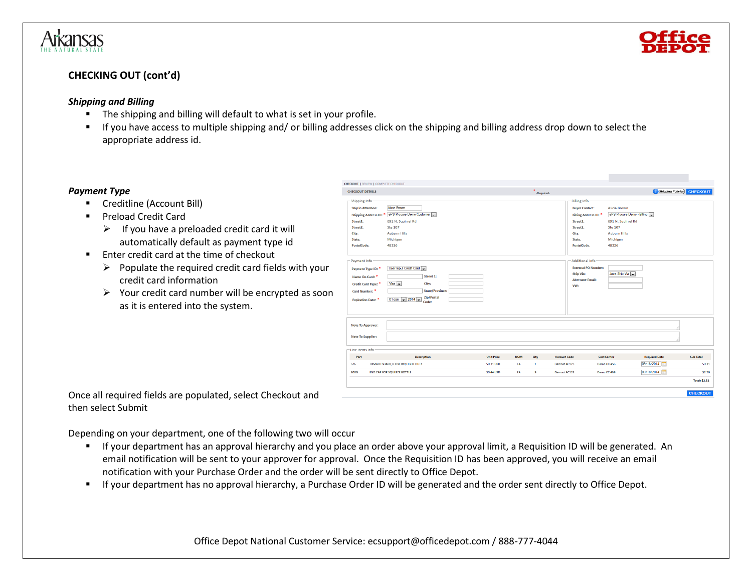



# **CHECKING OUT (cont'd)**

#### *Shipping and Billing*

- The shipping and billing will default to what is set in your profile.
- If you have access to multiple shipping and/ or billing addresses click on the shipping and billing address drop down to select the appropriate address id.

# *Payment Type*

- Creditline (Account Bill)
- Preload Credit Card
	- $\triangleright$  If you have a preloaded credit card it will automatically default as payment type id
- Enter credit card at the time of checkout
	- $\triangleright$  Populate the required credit card fields with your credit card information
	- ➢ Your credit card number will be encrypted as soon as it is entered into the system.

| <b>CHECKOUT DETAILS</b><br>-Shipping Info-<br><b>Alicia Brown</b><br><b>ShipTo Attention:</b><br>ePS Procure Demo Customer<br><b>Shipping Address ID: *</b><br>691 N. Squirrel Rd<br>Street1:<br><b>Ste 107</b><br>Street2:<br><b>Auburn Hills</b><br>City:<br>Michigan<br>State:<br>PostalCode:<br>48326<br>- Payment Info-<br>User Input Credit Card<br>Payment Type ID:<br>Street 1:<br>Name On Card: *<br>$Visa -$<br>City:<br>Credit Card Type: *<br>Card Number: *<br>Zip/Postal<br>01-Jan $\sim$ 2014<br><b>Expiration Date:</b><br>Code:<br><b>Note To Approver:</b><br><b>Note To Supplier:</b><br>-Line Items Info<br>Part<br><b>Description</b> |                                 |                              |                                                                                                                                                                                                                                                                                                                                                                                      |                                              |
|------------------------------------------------------------------------------------------------------------------------------------------------------------------------------------------------------------------------------------------------------------------------------------------------------------------------------------------------------------------------------------------------------------------------------------------------------------------------------------------------------------------------------------------------------------------------------------------------------------------------------------------------------------|---------------------------------|------------------------------|--------------------------------------------------------------------------------------------------------------------------------------------------------------------------------------------------------------------------------------------------------------------------------------------------------------------------------------------------------------------------------------|----------------------------------------------|
|                                                                                                                                                                                                                                                                                                                                                                                                                                                                                                                                                                                                                                                            |                                 | $\mathbf{x}$<br>-Required.   |                                                                                                                                                                                                                                                                                                                                                                                      | Shipping Policies<br><b>CHECKOUT</b>         |
|                                                                                                                                                                                                                                                                                                                                                                                                                                                                                                                                                                                                                                                            | <b>State/Province:</b>          |                              | -Billing Info-<br>Alicia Brown<br><b>Buyer Contact:</b><br>ePS Procure Demo - Biling<br>Billing Address ID: *<br>691 N. Squirrel Rd<br>Street1:<br><b>Ste 107</b><br>Street2:<br><b>Auburn Hills</b><br>City:<br>Michigan<br>State:<br>48326<br>PostalCode:<br>Additional Info-<br><b>External PO Number:</b><br>Java Ship Via<br><b>Ship Via:</b><br><b>Alternate Email:</b><br>VW: |                                              |
|                                                                                                                                                                                                                                                                                                                                                                                                                                                                                                                                                                                                                                                            |                                 |                              |                                                                                                                                                                                                                                                                                                                                                                                      |                                              |
|                                                                                                                                                                                                                                                                                                                                                                                                                                                                                                                                                                                                                                                            | <b>Unit Price</b><br><b>UOM</b> | Qty<br><b>Account Code</b>   | <b>Cost Center</b>                                                                                                                                                                                                                                                                                                                                                                   | <b>Required Date</b><br><b>Sub Total</b>     |
| 676<br>TOMATO SHARK, ECONOMY, LIGHT DUTY                                                                                                                                                                                                                                                                                                                                                                                                                                                                                                                                                                                                                   | \$0.31 USD<br>EA                | $\mathbf{1}$<br>Demost AC123 | Demo CC 456                                                                                                                                                                                                                                                                                                                                                                          | 09/18/2014<br>\$0.31                         |
| 503G<br>END CAP FOR SQUEEZE BOTTLE                                                                                                                                                                                                                                                                                                                                                                                                                                                                                                                                                                                                                         | <b>SO.44 USD</b><br>EA          | s.<br>Demost AC123           | Demo CC 456                                                                                                                                                                                                                                                                                                                                                                          | 09/18/2014<br>\$2.20<br><b>Total: \$2.51</b> |

Once all required fields are populated, select Checkout and then select Submit

Depending on your department, one of the following two will occur

- If your department has an approval hierarchy and you place an order above your approval limit, a Requisition ID will be generated. An email notification will be sent to your approver for approval. Once the Requisition ID has been approved, you will receive an email notification with your Purchase Order and the order will be sent directly to Office Depot.
- If your department has no approval hierarchy, a Purchase Order ID will be generated and the order sent directly to Office Depot.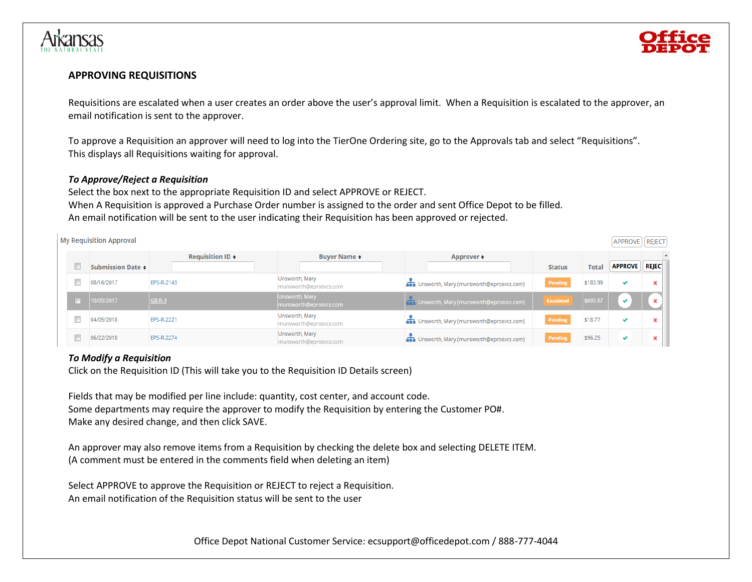



## **APPROVING REQUISITIONS**

Requisitions are escalated when a user creates an order above the user's approval limit. When a Requisition is escalated to the approver, an email notification is sent to the approver.

To approve a Requisition an approver will need to log into the TierOne Ordering site, go to the Approvals tab and select "Requisitions". This displays all Requisitions waiting for approval.

#### *To Approve/Reject a Requisition*

Select the box next to the appropriate Requisition ID and select APPROVE or REJECT. When A Requisition is approved a Purchase Order number is assigned to the order and sent Office Depot to be filled. An email notification will be sent to the user indicating their Requisition has been approved or rejected.

|   | <b>My Requisition Approval</b> |                                         |                                          |                                                   |                  |              | APPROVE   REJECT |                          |  |
|---|--------------------------------|-----------------------------------------|------------------------------------------|---------------------------------------------------|------------------|--------------|------------------|--------------------------|--|
|   |                                | <b>Requisition ID <math>\div</math></b> | <b>Buyer Name :</b>                      | Approver =                                        |                  |              |                  |                          |  |
|   | <b>Submission Date -</b>       |                                         |                                          |                                                   | <b>Status</b>    | <b>Total</b> | <b>APPROVE</b>   | <b>REJEC</b>             |  |
|   | 08/16/2017                     | EPS-R-2143                              | Unsworth, Mary<br>munsworth@eprosvcs.com | <b>Th</b> Unsworth, Mary (munsworth@eprosvcs.com) | Pending          | \$183.99     | $\checkmark$     |                          |  |
| n | 10/05/2017                     | $GB-R-3$                                | Unsworth, Mary<br>munsworth@eprosvcs.com | TT Unsworth, Mary (munsworth@eprosvcs.com)        | <b>Escalated</b> | \$693.67     | v                | $\overline{\phantom{a}}$ |  |
|   | 04/05/2018                     | EPS-R-2221                              | Unsworth, Mary<br>munsworth@eprosvcs.com | Unsworth, Mary (munsworth@eprosvcs.com)           | Pending          | \$18.77      | ✔                |                          |  |
|   | 06/22/2018                     | EPS-R-2274                              | Unsworth, Mary<br>munsworth@eprosvcs.com | Unsworth, Mary (munsworth@eprosvcs.com)           | Pending          | \$96.25      | v                |                          |  |

# *To Modify a Requisition*

Click on the Requisition ID (This will take you to the Requisition ID Details screen)

Fields that may be modified per line include: quantity, cost center, and account code. Some departments may require the approver to modify the Requisition by entering the Customer PO#. Make any desired change, and then click SAVE.

An approver may also remove items from a Requisition by checking the delete box and selecting DELETE ITEM. (A comment must be entered in the comments field when deleting an item)

Select APPROVE to approve the Requisition or REJECT to reject a Requisition. An email notification of the Requisition status will be sent to the user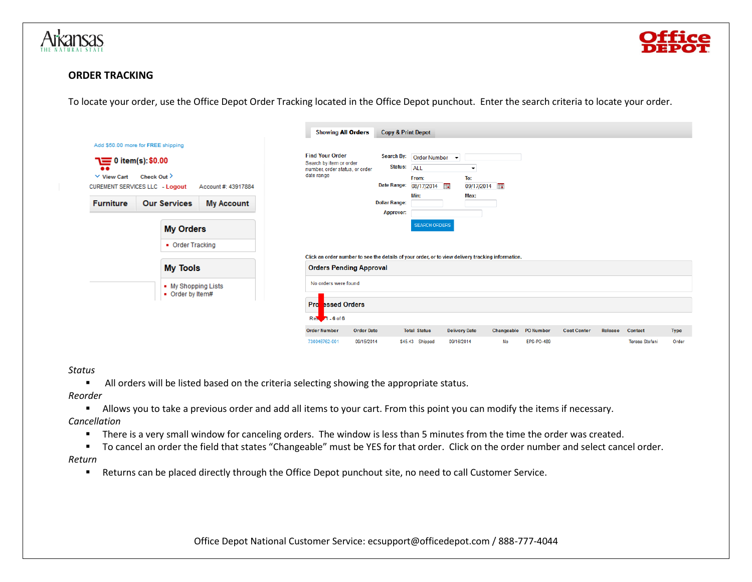



# **ORDER TRACKING**

To locate your order, use the Office Depot Order Tracking located in the Office Depot punchout. Enter the search criteria to locate your order.

|                                                                                                                                                                  |                  |                                         |                                          | <b>Showing All Orders</b>                                                                         | <b>Copy &amp; Print Depot</b>                    |                                                                                              |                                                       |    |                      |                    |         |                       |             |
|------------------------------------------------------------------------------------------------------------------------------------------------------------------|------------------|-----------------------------------------|------------------------------------------|---------------------------------------------------------------------------------------------------|--------------------------------------------------|----------------------------------------------------------------------------------------------|-------------------------------------------------------|----|----------------------|--------------------|---------|-----------------------|-------------|
| Add \$50.00 more for FREE shipping<br>$\equiv 0$ item(s): \$0.00<br>$\bullet$<br>$\times$ View Cart<br><b>CUREMENT SERVICES LLC - Logout</b><br><b>Furniture</b> | Check Out $\geq$ | <b>Our Services</b><br><b>My Orders</b> | Account #: 43917884<br><b>My Account</b> | <b>Find Your Order</b><br>Search by item or order<br>number, order status, or order<br>date range | Status: ALL<br><b>Dollar Range:</b><br>Approver: | Search By: Order Number v<br>From:<br>Date Range: 08/17/2014<br>Min:<br><b>SEARCH ORDERS</b> | $\overline{\phantom{a}}$<br>To:<br>09/17/2014<br>Max: |    |                      |                    |         |                       |             |
|                                                                                                                                                                  |                  | • Order Tracking                        |                                          | Click an order number to see the details of your order, or to view delivery tracking information. |                                                  |                                                                                              |                                                       |    |                      |                    |         |                       |             |
|                                                                                                                                                                  |                  | <b>My Tools</b>                         |                                          | <b>Orders Pending Approval</b>                                                                    |                                                  |                                                                                              |                                                       |    |                      |                    |         |                       |             |
|                                                                                                                                                                  |                  | • My Shopping Lists<br>• Order by Item# |                                          | No orders were found                                                                              |                                                  |                                                                                              |                                                       |    |                      |                    |         |                       |             |
|                                                                                                                                                                  |                  |                                         |                                          | Pro<br><b>Eased Orders</b><br>Res. 1 - 6 of 6                                                     |                                                  |                                                                                              |                                                       |    |                      |                    |         |                       |             |
|                                                                                                                                                                  |                  |                                         |                                          | <b>Order Number</b><br><b>Order Date</b>                                                          |                                                  | <b>Total Status</b>                                                                          | <b>Delivery Date</b>                                  |    | Changeable PO Number | <b>Cost Center</b> | Release | Contact               | <b>Type</b> |
|                                                                                                                                                                  |                  |                                         |                                          | 730046762-001<br>09/15/2014                                                                       |                                                  | \$45.43 Shipped                                                                              | 09/16/2014                                            | No | EPS-PO-489           |                    |         | <b>Teresa Stefani</b> | Order       |

#### *Status*

■ All orders will be listed based on the criteria selecting showing the appropriate status.

*Reorder*

▪ Allows you to take a previous order and add all items to your cart. From this point you can modify the items if necessary.

#### *Cancellation*

- There is a very small window for canceling orders. The window is less than 5 minutes from the time the order was created.
- To cancel an order the field that states "Changeable" must be YES for that order. Click on the order number and select cancel order.

*Return*

■ Returns can be placed directly through the Office Depot punchout site, no need to call Customer Service.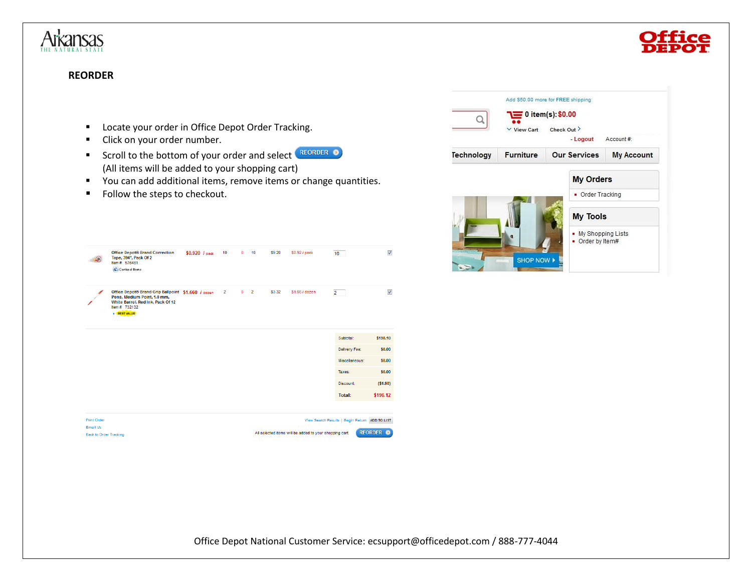

# **REORDER**

- Locate your order in Office Depot Order Tracking.
- Click on your order number.
- Scroll to the bottom of your order and select REORDER (All items will be added to your shopping cart)
- You can add additional items, remove items or change quantities.
- Follow the steps to checkout.



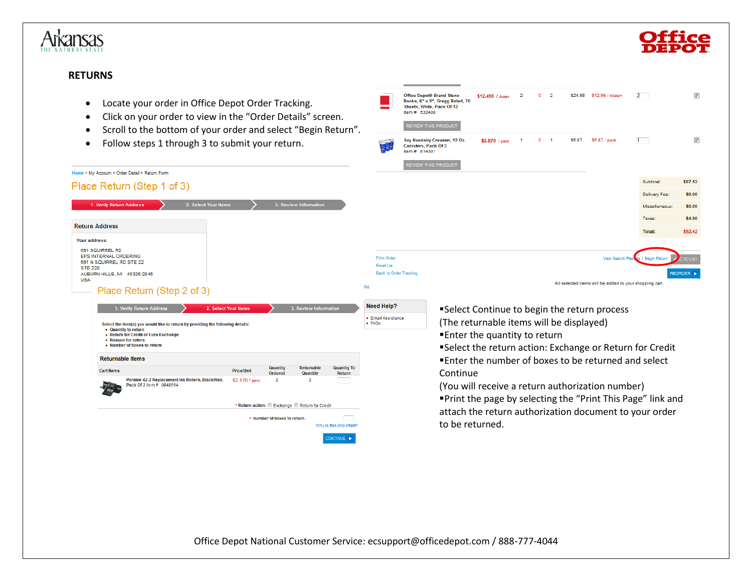



# **RETURNS**

Home > My Account > Order Detail > Return Form Place Return (Step 1 of 3)

1. Verify Return Address

AUBURN HILLS, MI 48326-2846

• Quantity to return • Return for Credit or Even Exchange • Reason for return • Number of boxes to return **Returnable Items** 

**Cart Items** 

Place Return (Step 2 of 3)

Pack Of 2 Item # 0848564

Select the item(s) you would like to return by providing the following details:

Porelon 42-2 Replacement Ink Rollers, Black/Red,

1. Verify Return Address

**Return Address** Your address: 691 SQUIRREL RD EPS INTERNAL ORDERING 691 N SQUIRREL RD STE 22

**STE 220** 

**USA** 

- Locate your order in Office Depot Order Tracking
- Click on your order to view in the "Order Detail

2. Select Your Items

• Scroll to the bottom of your order and select "

2. Select Your Items

**Price/Unit** 

\$2.170 / pack

**Quantity** 

Ordered

 $\overline{2}$ 

\* Return action: C Exchange C Return for Credit \* Number of boxes to return.

Returnable

**Quantity** 

 $\overline{2}$ 

**Quantity To** 

Return

Why is this important? DNTINUE **>** 

• Follow steps 1 through 3 to submit your return.

| ng.<br>ils" screen.      |                                      | <b>Office Depot® Brand Steno</b><br>Books, 6" x 9", Gregg Ruled, 70<br>Sheets, White, Pack Of 12<br>Item # 533400 | \$12,490 / dozen | $\overline{2}$ | ۰         | $\overline{2}$ | \$24.98 | \$12.99 / dozen                                            | $\overline{2}$                                       | V                |
|--------------------------|--------------------------------------|-------------------------------------------------------------------------------------------------------------------|------------------|----------------|-----------|----------------|---------|------------------------------------------------------------|------------------------------------------------------|------------------|
| Begin Return".           |                                      | REVIEW THIS PRODUCT                                                                                               |                  |                |           |                |         |                                                            |                                                      |                  |
| ١.                       |                                      | Soy Nondairy Creamer, 12 Oz.<br>Canisters, Pack Of 3<br>Item # 814301                                             | \$5.870 / pack   | 1              | $\bullet$ | $\blacksquare$ | \$5.87  | \$5.87 / pack                                              | $1 -$                                                | V                |
|                          |                                      | <b>REVIEW THIS PRODUCT</b>                                                                                        |                  |                |           |                |         |                                                            |                                                      |                  |
|                          |                                      |                                                                                                                   |                  |                |           |                |         |                                                            | Subtotal:                                            | \$87.52          |
|                          |                                      |                                                                                                                   |                  |                |           |                |         |                                                            | Delivery Fee:                                        | \$0.00           |
| <b>Information</b>       |                                      |                                                                                                                   |                  |                |           |                |         |                                                            | Miscellaneous:                                       | \$0.00           |
|                          |                                      |                                                                                                                   |                  |                |           |                |         |                                                            | Taxes:                                               | \$4.90           |
|                          |                                      |                                                                                                                   |                  |                |           |                |         |                                                            | <b>Total:</b>                                        | \$92.42          |
|                          |                                      |                                                                                                                   |                  |                |           |                |         |                                                            |                                                      |                  |
|                          | <b>Print Order</b>                   |                                                                                                                   |                  |                |           |                |         |                                                            | View Search Resides   Begin Return<br>$\overline{M}$ | <b>D TO LIST</b> |
|                          | <b>Back to Order Tracking</b>        |                                                                                                                   |                  |                |           |                |         |                                                            |                                                      | REORDER >        |
|                          |                                      |                                                                                                                   |                  |                |           |                |         | All selected items will be added to your shopping cart.    |                                                      |                  |
|                          | Email Us<br>Pri<br><b>Need Help?</b> |                                                                                                                   |                  |                |           |                |         |                                                            |                                                      |                  |
| <b>eview Information</b> |                                      |                                                                                                                   |                  |                |           |                |         | $\blacksquare$ Coloct Continuo to bogin the return process |                                                      |                  |

- ■Select Continue to begin the return process (The returnable items will be displayed) ■ Enter the quantity to return
- ▪Select the return action: Exchange or Return for Credit ■ Enter the number of boxes to be returned and select Continue

(You will receive a return authorization number) ▪Print the page by selecting the "Print This Page" link and attach the return authorization document to your order to be returned.

Office Depot National Customer Service: ecsupport@officedepot.com / 888-777-4044

· Email Assistance

 $-FAQs$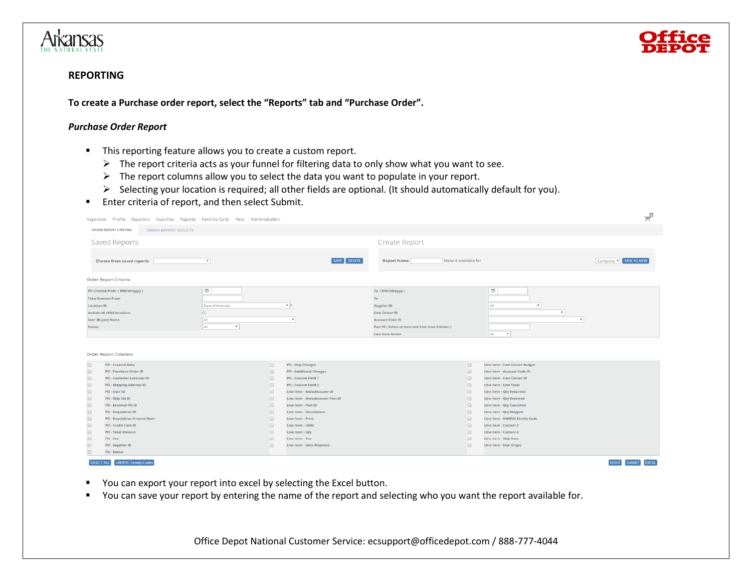



# **REPORTING**

**To create a Purchase order report, select the "Reports" tab and "Purchase Order".**

#### *Purchase Order Report*

- This reporting feature allows you to create a custom report.
	- ➢ The report criteria acts as your funnel for filtering data to only show what you want to see.
	- ➢ The report columns allow you to select the data you want to populate in your report.
	- ➢ Selecting your location is required; all other fields are optional. (It should automatically default for you).
- Enter criteria of report, and then select Submit.

| Approvals Profile Suppliers Searches Reports Favorite Carts Help Administration                                                                                                           |                                                                                           |                                         |                                                                                                                                                                             |                                                                     |                                                                                                                        | ਦੰ                                            |
|-------------------------------------------------------------------------------------------------------------------------------------------------------------------------------------------|-------------------------------------------------------------------------------------------|-----------------------------------------|-----------------------------------------------------------------------------------------------------------------------------------------------------------------------------|---------------------------------------------------------------------|------------------------------------------------------------------------------------------------------------------------|-----------------------------------------------|
| <b>ORDER REPORT CRITERIA</b><br><b>ORDER REPORT RESULTS</b>                                                                                                                               |                                                                                           |                                         |                                                                                                                                                                             |                                                                     |                                                                                                                        |                                               |
| Saved Reports                                                                                                                                                                             |                                                                                           |                                         | Create Report                                                                                                                                                               |                                                                     |                                                                                                                        |                                               |
| <b>Choose from saved reports</b>                                                                                                                                                          | $\boldsymbol{\mathrm{v}}$                                                                 | SAVE DELETE                             | Make it available for<br><b>Report Name</b>                                                                                                                                 |                                                                     |                                                                                                                        | Company v SAVE AS NEW                         |
| <b>Order Report Criteria</b>                                                                                                                                                              |                                                                                           |                                         |                                                                                                                                                                             |                                                                     |                                                                                                                        |                                               |
| PO Created From (MM/dd/yyyy)<br><b>Total Amount From</b><br><b>Location ID</b><br>Include all child locations<br><b>User (Buyer) Name</b><br><b>Status</b><br><b>Order Report Columns</b> | 雦<br>State of Arkansas<br>$\qquad \qquad \Box$<br>All<br>All<br>$\boldsymbol{\mathrm{v}}$ | $\mathbf{v}$<br>$\overline{\mathbf{v}}$ | To (MM/dd/yyyy)<br>To<br><b>Supplier ID</b><br><b>Cost Center ID</b><br><b>Account Code ID</b><br>Part ID (Select at least one Line Item Column)<br><b>Line Item Action</b> |                                                                     | 曲<br>$\mathbf{v}$<br>All<br>$\boldsymbol{\mathrm{v}}$<br>$\boldsymbol{\mathrm{v}}$<br>All<br>$\boldsymbol{\mathrm{v}}$ |                                               |
| $\Box$<br><b>PO - Created Date</b>                                                                                                                                                        | $\Box$                                                                                    | <b>PO - Ship Charges</b>                |                                                                                                                                                                             | $\qquad \qquad \Box$                                                | <b>Line Item - Cost Center Budget</b>                                                                                  |                                               |
| $\Box$<br><b>PO - Purchase Order ID</b>                                                                                                                                                   | $\qquad \qquad \Box$                                                                      | <b>PO - Additional Charges</b>          |                                                                                                                                                                             | $\qquad \qquad \Box$                                                | <b>Line Item - Account Code ID</b>                                                                                     |                                               |
| <b>PO - Customer Location ID</b><br>$\Box$                                                                                                                                                | $\qquad \qquad \Box$                                                                      | <b>PO - Custom Field 1</b>              |                                                                                                                                                                             | $\qquad \qquad \Box$                                                | Line Item - Cost Center ID                                                                                             |                                               |
| <b>PO - Shipping Address ID</b><br>$\Box$                                                                                                                                                 | $\qquad \qquad \Box$                                                                      | <b>PO - Custom Field 2</b>              |                                                                                                                                                                             | $\qquad \qquad \Box$                                                | Line Item - Line Total                                                                                                 |                                               |
| PO - User ID<br>$\Box$                                                                                                                                                                    | $\qquad \qquad \Box$                                                                      | Line Item - Manufacturer ID             |                                                                                                                                                                             | $\qquad \qquad \Box$                                                | Line Item - Qty Returned                                                                                               |                                               |
| PO - Ship Via ID<br>lo                                                                                                                                                                    | $\qquad \qquad \Box$                                                                      | Line Item - Manufacturer Part ID        |                                                                                                                                                                             | $\qquad \qquad \Box$                                                | <b>Line Item - Qty Received</b>                                                                                        |                                               |
| PO - External PO ID<br>$\Box$                                                                                                                                                             | $\Box$                                                                                    | Line Item - Part ID                     |                                                                                                                                                                             | $\qquad \qquad \Box$                                                | <b>Line Item - Qty Cancelled</b>                                                                                       |                                               |
| <b>PO - Requisition ID</b><br>$\Box$                                                                                                                                                      | $\qquad \qquad \Box$                                                                      | <b>Line Item - Description</b>          |                                                                                                                                                                             | $\Box$                                                              | <b>Line Item - Qty Shipped</b>                                                                                         |                                               |
| <b>PO - Requisition Created Date</b><br>$\Box$                                                                                                                                            | $\qquad \qquad \Box$                                                                      | Line Item - Price                       |                                                                                                                                                                             | $\qquad \qquad \Box$                                                | <b>Line Item - UNSPSC Family Code</b>                                                                                  |                                               |
| $\Box$<br><b>PO - Credit Card ID</b>                                                                                                                                                      | $\qquad \qquad \Box$                                                                      | Line Item - UOM                         |                                                                                                                                                                             | $\qquad \qquad \Box$                                                | Line Item - Custom 3                                                                                                   |                                               |
| <b>PO - Total Amount</b><br>$\Box$<br>$PO - Tax$                                                                                                                                          | $\qquad \qquad \Box$                                                                      | Line Item - Qty<br>Line Item - Tax      |                                                                                                                                                                             | $\qquad \qquad \Box$                                                | Line Item - Custom 4                                                                                                   |                                               |
| $\Box$<br><b>PO - Supplier ID</b>                                                                                                                                                         | $\qquad \qquad \qquad \qquad \qquad \qquad$<br>$\qquad \qquad \Box$                       | Line Item - Date Required               |                                                                                                                                                                             | $\qquad \qquad \qquad \qquad \qquad \qquad$<br>$\qquad \qquad \Box$ | <b>Line Item - Ship Date</b><br>Line Item - Line Origin                                                                |                                               |
| PO - Status                                                                                                                                                                               |                                                                                           |                                         |                                                                                                                                                                             |                                                                     |                                                                                                                        |                                               |
| <b>UNSPSC Family Codes</b><br><b>SELECT ALL</b>                                                                                                                                           |                                                                                           |                                         |                                                                                                                                                                             |                                                                     |                                                                                                                        | <b>EXCEL</b><br><b>SUBMIT</b><br><b>RESET</b> |

- You can export your report into excel by selecting the Excel button.
- You can save your report by entering the name of the report and selecting who you want the report available for.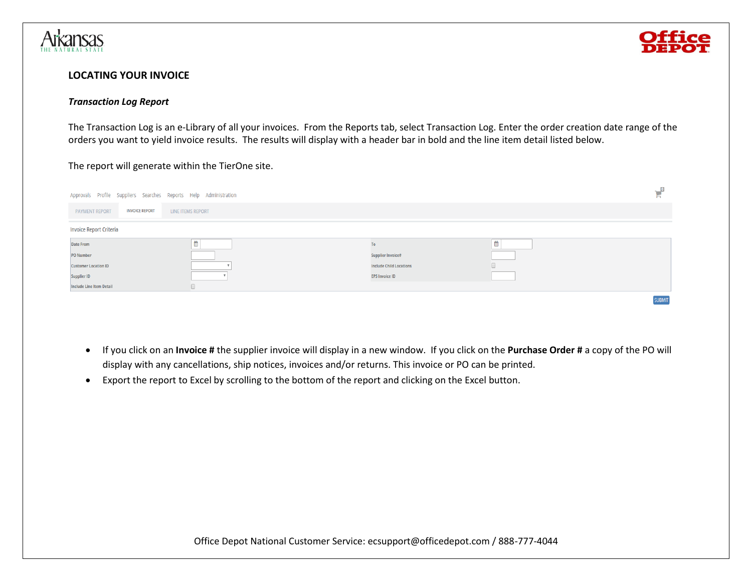



# **LOCATING YOUR INVOICE**

#### *Transaction Log Report*

The Transaction Log is an e-Library of all your invoices. From the Reports tab, select Transaction Log. Enter the order creation date range of the orders you want to yield invoice results. The results will display with a header bar in bold and the line item detail listed below.

# The report will generate within the TierOne site.

| Approvals Profile Suppliers Searches Reports Help Administration |                                                   |        |                                |  |               |
|------------------------------------------------------------------|---------------------------------------------------|--------|--------------------------------|--|---------------|
| <b>PAYMENT REPORT</b>                                            | <b>INVOICE REPORT</b><br><b>LINE ITEMS REPORT</b> |        |                                |  |               |
| <b>Invoice Report Criteria</b>                                   |                                                   |        |                                |  |               |
| <b>Date From</b>                                                 |                                                   | 鹼<br>₩ | To                             |  |               |
| <b>PO Number</b>                                                 |                                                   |        | <b>Supplier Invoice#</b>       |  |               |
| <b>Customer Location ID</b>                                      |                                                   |        | <b>Include Child Locations</b> |  |               |
| <b>Supplier ID</b>                                               |                                                   |        | <b>EPS Invoice ID</b>          |  |               |
| <b>Include Line Item Detail</b>                                  |                                                   |        |                                |  |               |
|                                                                  |                                                   |        |                                |  | <b>SURMIT</b> |

- If you click on an **Invoice #** the supplier invoice will display in a new window. If you click on the **Purchase Order #** a copy of the PO will display with any cancellations, ship notices, invoices and/or returns. This invoice or PO can be printed.
- Export the report to Excel by scrolling to the bottom of the report and clicking on the Excel button.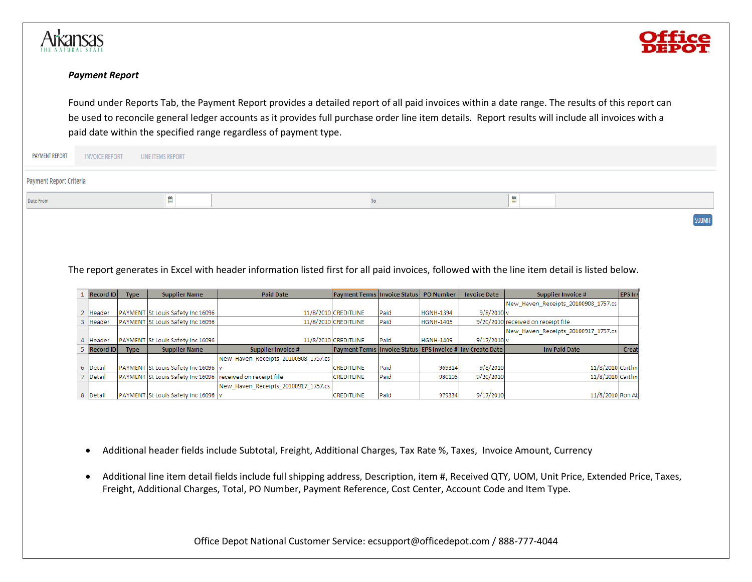



### *Payment Report*

Found under Reports Tab, the Payment Report provides a detailed report of all paid invoices within a date range. The results of this report can be used to reconcile general ledger accounts as it provides full purchase order line item details. Report results will include all invoices with a paid date within the specified range regardless of payment type.

| <b>PAYMENT REPORT</b>   | <b>INVOICE REPORT</b><br><b>LINE ITEMS REPORT</b> |    |               |
|-------------------------|---------------------------------------------------|----|---------------|
| Payment Report Criteria |                                                   |    |               |
| <b>Date From</b>        |                                                   | To |               |
|                         |                                                   |    | <b>SUBMIT</b> |

# The report generates in Excel with header information listed first for all paid invoices, followed with the line item detail is listed below.

| Record ID   | <b>Type</b> | <b>Supplier Name</b>                                       | <b>Paid Date</b>                    | <b>Payment Terms Invoice Status PO Number</b>                    |      |                  | <b>Invoice Date</b>      | <b>Supplier Invoice #</b>           | <b>EPS</b> In |
|-------------|-------------|------------------------------------------------------------|-------------------------------------|------------------------------------------------------------------|------|------------------|--------------------------|-------------------------------------|---------------|
|             |             |                                                            |                                     |                                                                  |      |                  |                          | New Haven Receipts 20100908 1757.cs |               |
| 2 Header    |             | PAYMENT St Louis Safety Inc 16096                          |                                     | 11/8/2010 CREDITLINE                                             | Paid | HGNH-1394        | $9/8/2010$ <sub>V</sub>  |                                     |               |
| 3 Header    |             | PAYMENT St Louis Safety Inc 16096                          |                                     | 11/8/2010 CREDITLINE                                             | Paid | <b>HGNH-1405</b> |                          | 9/20/2010 received on receipt file  |               |
|             |             |                                                            |                                     |                                                                  |      |                  |                          | New Haven Receipts 20100917 1757.cs |               |
| 4 Header    |             | PAYMENT St Louis Safety Inc 16096                          |                                     | 11/8/2010 CREDITLINE                                             | Paid | <b>HGNH-1409</b> | $9/17/2010$ <sub>V</sub> |                                     |               |
|             |             |                                                            |                                     |                                                                  |      |                  |                          |                                     |               |
| 5 Record ID | <b>Type</b> | <b>Supplier Name</b>                                       | <b>Supplier Invoice #</b>           | Payment Terms   Invoice Status   EPS Invoice #   Inv Create Date |      |                  |                          | <b>Inv Paid Date</b>                | Creat         |
|             |             |                                                            | New Haven Receipts 20100908 1757.cs |                                                                  |      |                  |                          |                                     |               |
| 6 Detail    |             | PAYMENT St Louis Safety Inc 16096 v                        |                                     | <b>CREDITLINE</b>                                                | Paid | 969314           | 9/8/2010                 | 11/8/2010 Caitlin                   |               |
| 7 Detail    |             | PAYMENT St Louis Safety Inc 16096 received on receipt file |                                     | CREDITLINE                                                       | Paid | 980105           | 9/20/2010                | 11/8/2010 Caitlin                   |               |
|             |             |                                                            | New Haven Receipts 20100917 1757.cs |                                                                  |      |                  |                          |                                     |               |

- Additional header fields include Subtotal, Freight, Additional Charges, Tax Rate %, Taxes, Invoice Amount, Currency
- Additional line item detail fields include full shipping address, Description, item #, Received QTY, UOM, Unit Price, Extended Price, Taxes, Freight, Additional Charges, Total, PO Number, Payment Reference, Cost Center, Account Code and Item Type.